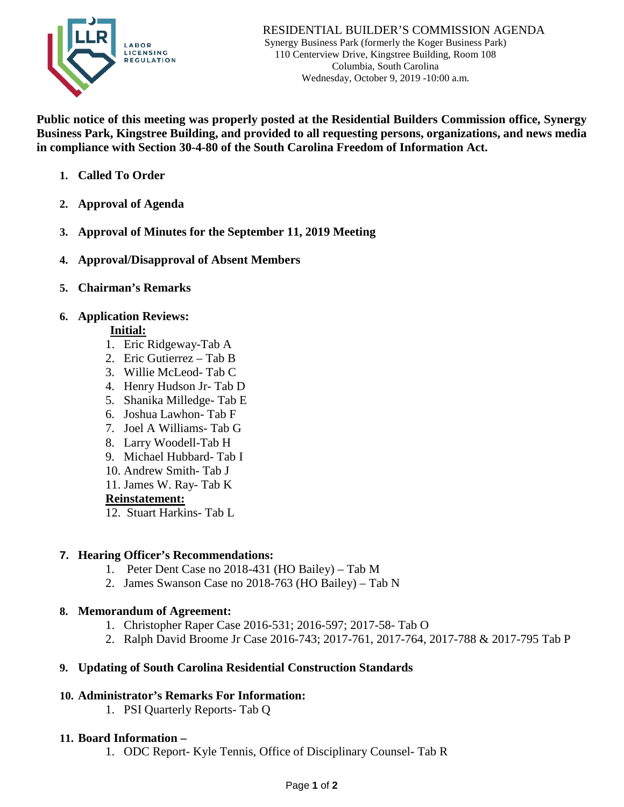

**Public notice of this meeting was properly posted at the Residential Builders Commission office, Synergy Business Park, Kingstree Building, and provided to all requesting persons, organizations, and news media in compliance with Section 30-4-80 of the South Carolina Freedom of Information Act.**

- **1. Called To Order**
- **2. Approval of Agenda**
- **3. Approval of Minutes for the September 11, 2019 Meeting**
- **4. Approval/Disapproval of Absent Members**
- **5. Chairman's Remarks**

### **6. Application Reviews:**

#### **Initial:**

- 1. Eric Ridgeway-Tab A
- 2. Eric Gutierrez Tab B
- 3. Willie McLeod- Tab C
- 4. Henry Hudson Jr- Tab D
- 5. Shanika Milledge- Tab E
- 6. Joshua Lawhon- Tab F
- 7. Joel A Williams- Tab G
- 8. Larry Woodell-Tab H
- 9. Michael Hubbard- Tab I
- 10. Andrew Smith- Tab J
- 11. James W. Ray- Tab K

#### **Reinstatement:**

12. Stuart Harkins- Tab L

#### **7. Hearing Officer's Recommendations:**

- 1. Peter Dent Case no 2018-431 (HO Bailey) Tab M
- 2. James Swanson Case no 2018-763 (HO Bailey) Tab N

### **8. Memorandum of Agreement:**

- 1. Christopher Raper Case 2016-531; 2016-597; 2017-58- Tab O
- 2. Ralph David Broome Jr Case 2016-743; 2017-761, 2017-764, 2017-788 & 2017-795 Tab P

### **9. Updating of South Carolina Residential Construction Standards**

### **10. Administrator's Remarks For Information:**

1. PSI Quarterly Reports- Tab Q

#### **11. Board Information –**

1. ODC Report- Kyle Tennis, Office of Disciplinary Counsel- Tab R